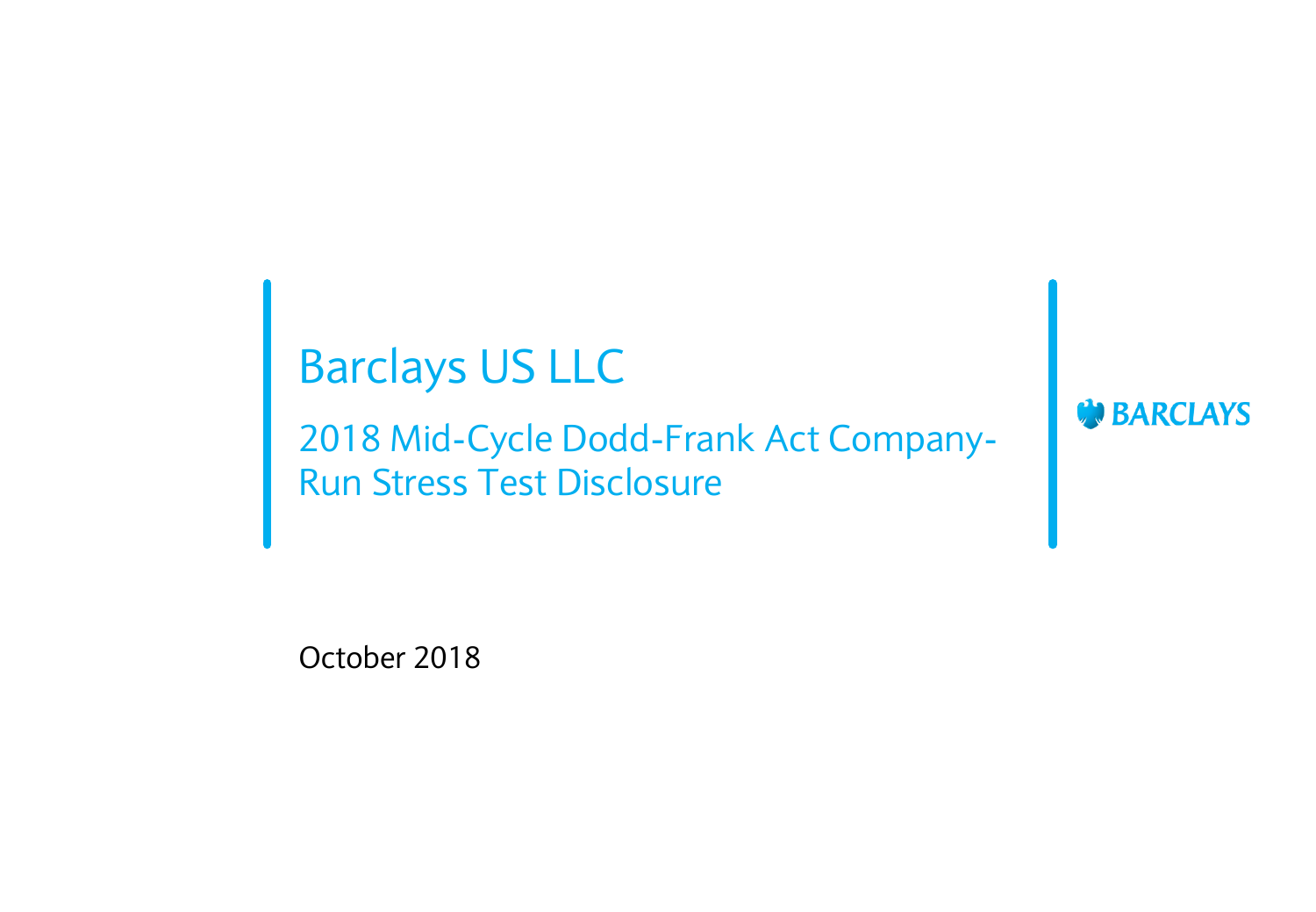## Barclays US LLC

2018 Mid-Cycle Dodd-Frank Act Company-Run Stress Test Disclosure

**BARCLAYS** 

October 2018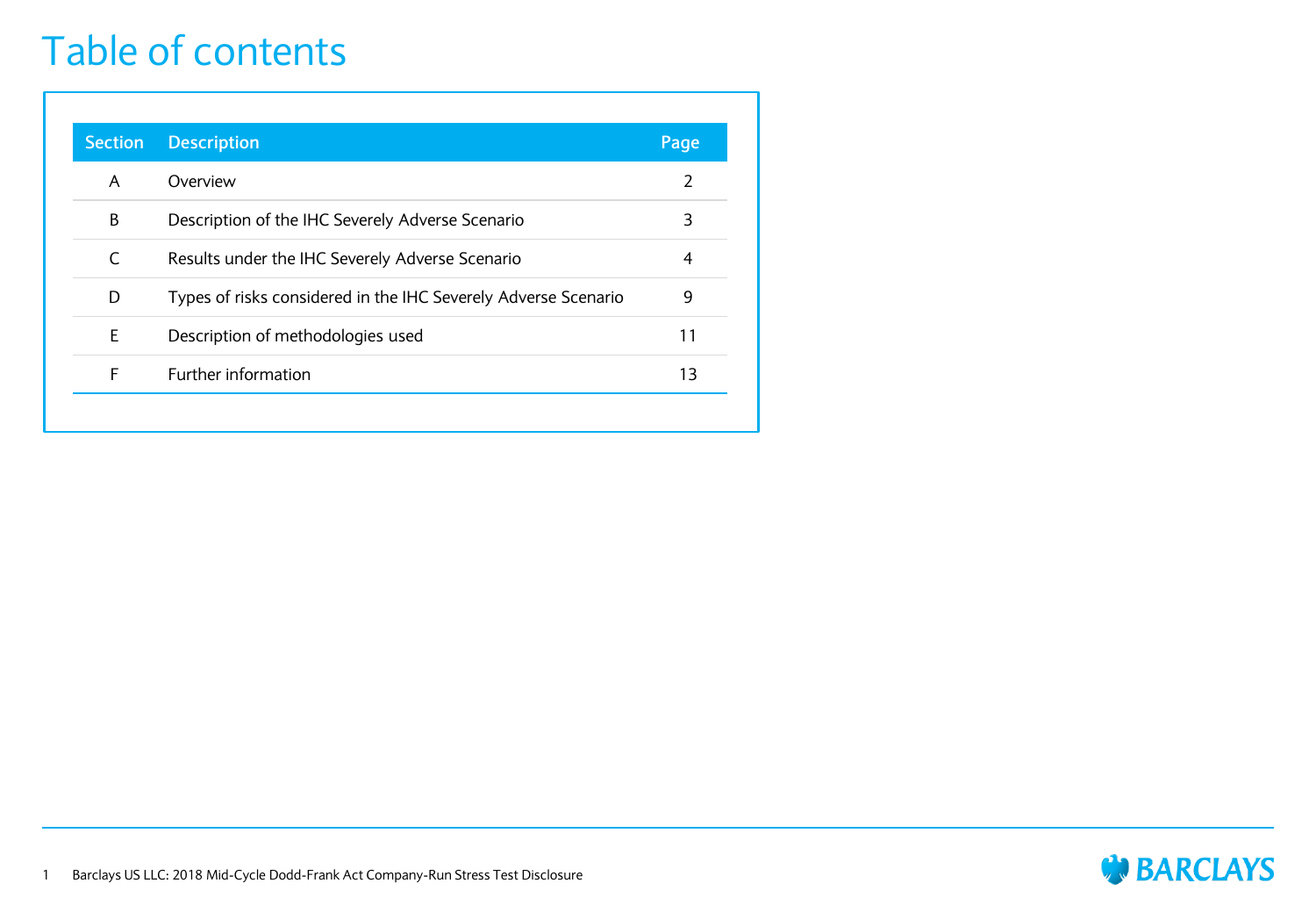#### Table of contents

| <b>Section</b> | <b>Description</b>                                             | Page           |
|----------------|----------------------------------------------------------------|----------------|
| A              | Overview                                                       | 2              |
| В              | Description of the IHC Severely Adverse Scenario               | 3              |
| C              | Results under the IHC Severely Adverse Scenario                | $\overline{4}$ |
| D              | Types of risks considered in the IHC Severely Adverse Scenario | 9              |
| E              | Description of methodologies used                              | 11             |
| F              | Further information                                            | 13             |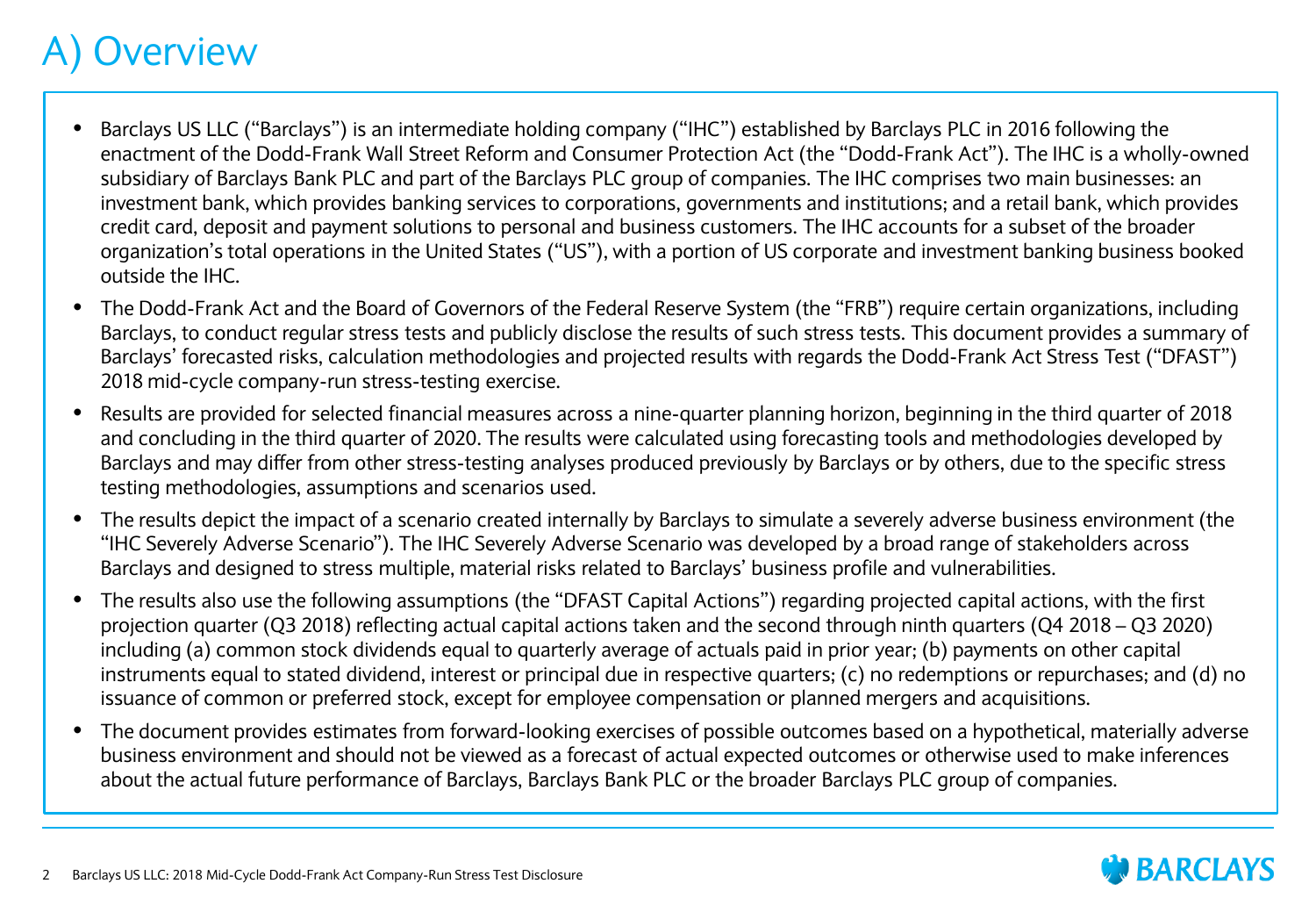#### **Overview**

- Barclays US LLC ("Barclays") is an intermediate holding company ("IHC") established by Barclays PLC in 2016 following the enactment of the Dodd-Frank Wall Street Reform and Consumer Protection Act (the "Dodd-Frank Act"). The IHC is a wholly-owned subsidiary of Barclays Bank PLC and part of the Barclays PLC group of companies. The IHC comprises two main businesses: an investment bank, which provides banking services to corporations, governments and institutions; and a retail bank, which provides credit card, deposit and payment solutions to personal and business customers. The IHC accounts for a subset of the broader organization's total operations in the United States ("US"), with a portion of US corporate and investment banking business booked outside the IHC.
- The Dodd-Frank Act and the Board of Governors of the Federal Reserve System (the "FRB") require certain organizations, including Barclays, to conduct regular stress tests and publicly disclose the results of such stress tests. This document provides a summary of Barclays' forecasted risks, calculation methodologies and projected results with regards the Dodd-Frank Act Stress Test ("DFAST") 2018 mid-cycle company-run stress-testing exercise.
- Results are provided for selected financial measures across a nine-quarter planning horizon, beginning in the third quarter of 2018 and concluding in the third quarter of 2020. The results were calculated using forecasting tools and methodologies developed by Barclays and may differ from other stress-testing analyses produced previously by Barclays or by others, due to the specific stress testing methodologies, assumptions and scenarios used.
- The results depict the impact of a scenario created internally by Barclays to simulate a severely adverse business environment (the "IHC Severely Adverse Scenario"). The IHC Severely Adverse Scenario was developed by a broad range of stakeholders across Barclays and designed to stress multiple, material risks related to Barclays' business profile and vulnerabilities.
- The results also use the following assumptions (the "DFAST Capital Actions") regarding projected capital actions, with the first projection quarter (Q3 2018) reflecting actual capital actions taken and the second through ninth quarters (Q4 2018 – Q3 2020) including (a) common stock dividends equal to quarterly average of actuals paid in prior year; (b) payments on other capital instruments equal to stated dividend, interest or principal due in respective quarters; (c) no redemptions or repurchases; and (d) no issuance of common or preferred stock, except for employee compensation or planned mergers and acquisitions.
- The document provides estimates from forward-looking exercises of possible outcomes based on a hypothetical, materially adverse business environment and should not be viewed as a forecast of actual expected outcomes or otherwise used to make inferences about the actual future performance of Barclays, Barclays Bank PLC or the broader Barclays PLC group of companies.

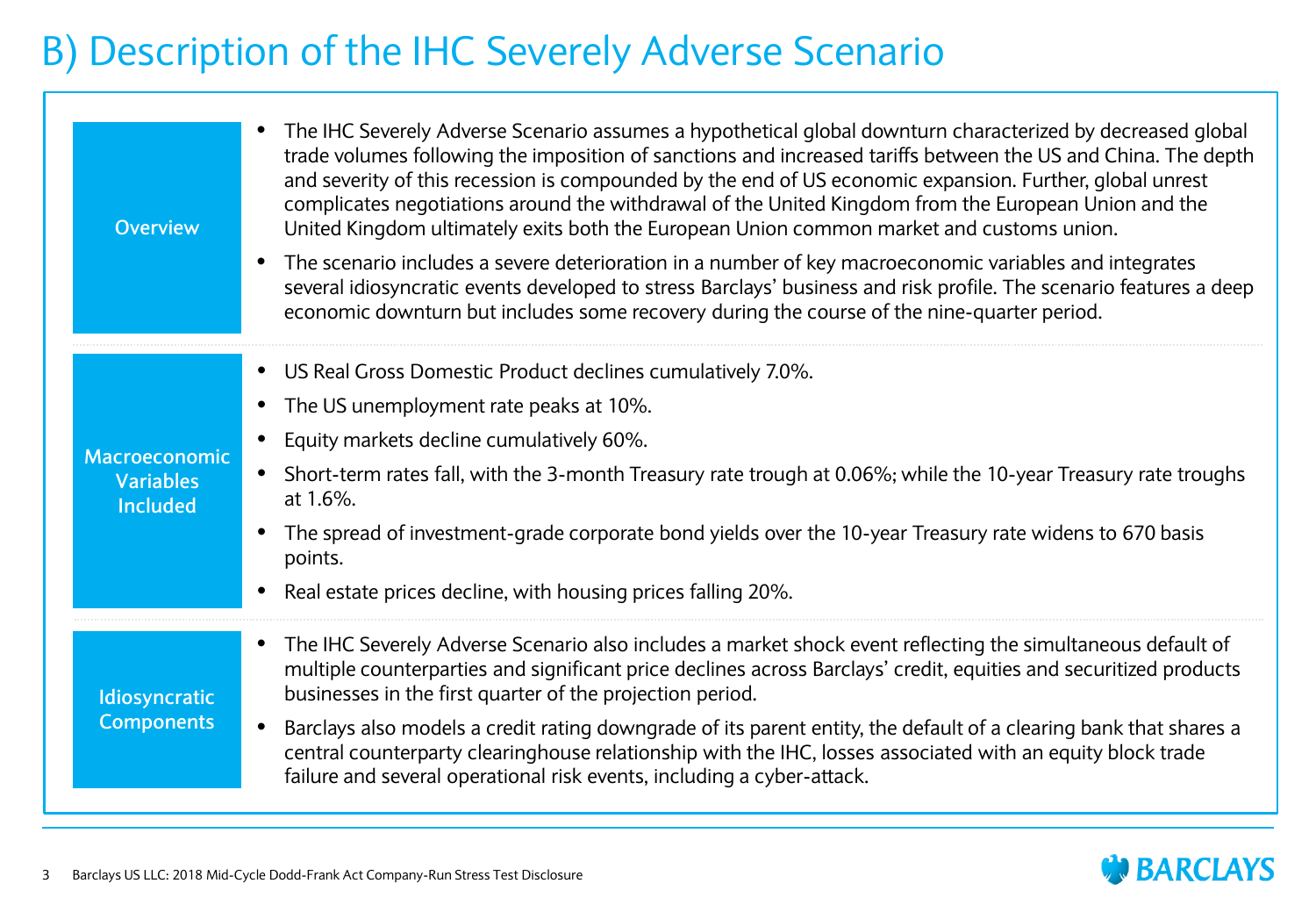## B) Description of the IHC Severely Adverse Scenario

| <b>Overview</b>                     | The IHC Severely Adverse Scenario assumes a hypothetical global downturn characterized by decreased global<br>trade volumes following the imposition of sanctions and increased tariffs between the US and China. The depth<br>and severity of this recession is compounded by the end of US economic expansion. Further, global unrest<br>complicates negotiations around the withdrawal of the United Kingdom from the European Union and the<br>United Kingdom ultimately exits both the European Union common market and customs union.<br>The scenario includes a severe deterioration in a number of key macroeconomic variables and integrates<br>$\bullet$<br>several idiosyncratic events developed to stress Barclays' business and risk profile. The scenario features a deep<br>economic downturn but includes some recovery during the course of the nine-quarter period. |
|-------------------------------------|----------------------------------------------------------------------------------------------------------------------------------------------------------------------------------------------------------------------------------------------------------------------------------------------------------------------------------------------------------------------------------------------------------------------------------------------------------------------------------------------------------------------------------------------------------------------------------------------------------------------------------------------------------------------------------------------------------------------------------------------------------------------------------------------------------------------------------------------------------------------------------------|
|                                     | • US Real Gross Domestic Product declines cumulatively 7.0%.                                                                                                                                                                                                                                                                                                                                                                                                                                                                                                                                                                                                                                                                                                                                                                                                                           |
|                                     | The US unemployment rate peaks at 10%.<br>$\bullet$                                                                                                                                                                                                                                                                                                                                                                                                                                                                                                                                                                                                                                                                                                                                                                                                                                    |
| Macroeconomic                       | Equity markets decline cumulatively 60%.<br>$\bullet$                                                                                                                                                                                                                                                                                                                                                                                                                                                                                                                                                                                                                                                                                                                                                                                                                                  |
| <b>Variables</b><br><b>Included</b> | Short-term rates fall, with the 3-month Treasury rate trough at 0.06%; while the 10-year Treasury rate troughs<br>at 1.6%.                                                                                                                                                                                                                                                                                                                                                                                                                                                                                                                                                                                                                                                                                                                                                             |
|                                     | The spread of investment-grade corporate bond yields over the 10-year Treasury rate widens to 670 basis<br>$\bullet$<br>points.                                                                                                                                                                                                                                                                                                                                                                                                                                                                                                                                                                                                                                                                                                                                                        |
|                                     | Real estate prices decline, with housing prices falling 20%.                                                                                                                                                                                                                                                                                                                                                                                                                                                                                                                                                                                                                                                                                                                                                                                                                           |
| Idiosyncratic<br><b>Components</b>  | The IHC Severely Adverse Scenario also includes a market shock event reflecting the simultaneous default of<br>$\bullet$<br>multiple counterparties and significant price declines across Barclays' credit, equities and securitized products<br>businesses in the first quarter of the projection period.                                                                                                                                                                                                                                                                                                                                                                                                                                                                                                                                                                             |
|                                     | Barclays also models a credit rating downgrade of its parent entity, the default of a clearing bank that shares a<br>$\bullet$<br>central counterparty clearinghouse relationship with the IHC, losses associated with an equity block trade<br>failure and several operational risk events, including a cyber-attack.                                                                                                                                                                                                                                                                                                                                                                                                                                                                                                                                                                 |

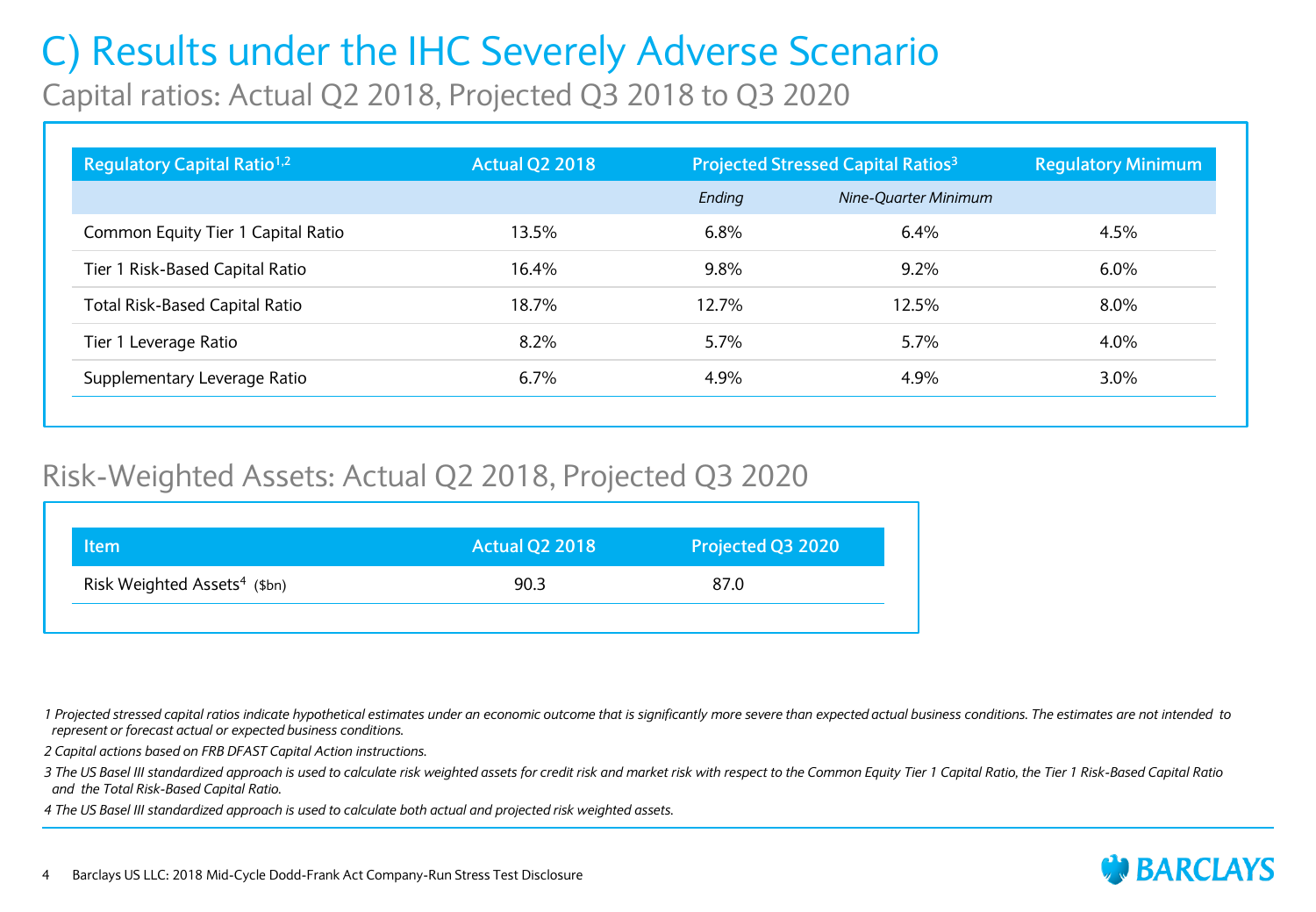## C) Results under the IHC Severely Adverse Scenario

Capital ratios: Actual Q2 2018, Projected Q3 2018 to Q3 2020

| Regulatory Capital Ratio <sup>1,2</sup> | <b>Actual Q2 2018</b> | <b>Projected Stressed Capital Ratios<sup>3</sup></b> |                      | <b>Regulatory Minimum</b> |
|-----------------------------------------|-----------------------|------------------------------------------------------|----------------------|---------------------------|
|                                         |                       | Ending                                               | Nine-Ouarter Minimum |                           |
| Common Equity Tier 1 Capital Ratio      | 13.5%                 | 6.8%                                                 | 6.4%                 | 4.5%                      |
| Tier 1 Risk-Based Capital Ratio         | 16.4%                 | 9.8%                                                 | $9.2\%$              | $6.0\%$                   |
| <b>Total Risk-Based Capital Ratio</b>   | 18.7%                 | 12.7%                                                | 12.5%                | $8.0\%$                   |
| Tier 1 Leverage Ratio                   | 8.2%                  | 5.7%                                                 | $5.7\%$              | 4.0%                      |
| Supplementary Leverage Ratio            | $6.7\%$               | 4.9%                                                 | 4.9%                 | $3.0\%$                   |

#### Risk-Weighted Assets: Actual Q2 2018, Projected Q3 2020

| ltem                                     | <b>Actual Q2 2018</b> | Projected Q3 2020 |
|------------------------------------------|-----------------------|-------------------|
| Risk Weighted Assets <sup>4</sup> (\$bn) | 90.3                  | 87.0              |
|                                          |                       |                   |

*1 Projected stressed capital ratios indicate hypothetical estimates under an economic outcome that is significantly more severe than expected actual business conditions. The estimates are not intended to represent or forecast actual or expected business conditions.*

*2 Capital actions based on FRB DFAST Capital Action instructions.*

*3 The US Basel III standardized approach is used to calculate risk weighted assets for credit risk and market risk with respect to the Common Equity Tier 1 Capital Ratio, the Tier 1 Risk-Based Capital Ratio and the Total Risk-Based Capital Ratio.* 

*4 The US Basel III standardized approach is used to calculate both actual and projected risk weighted assets.*

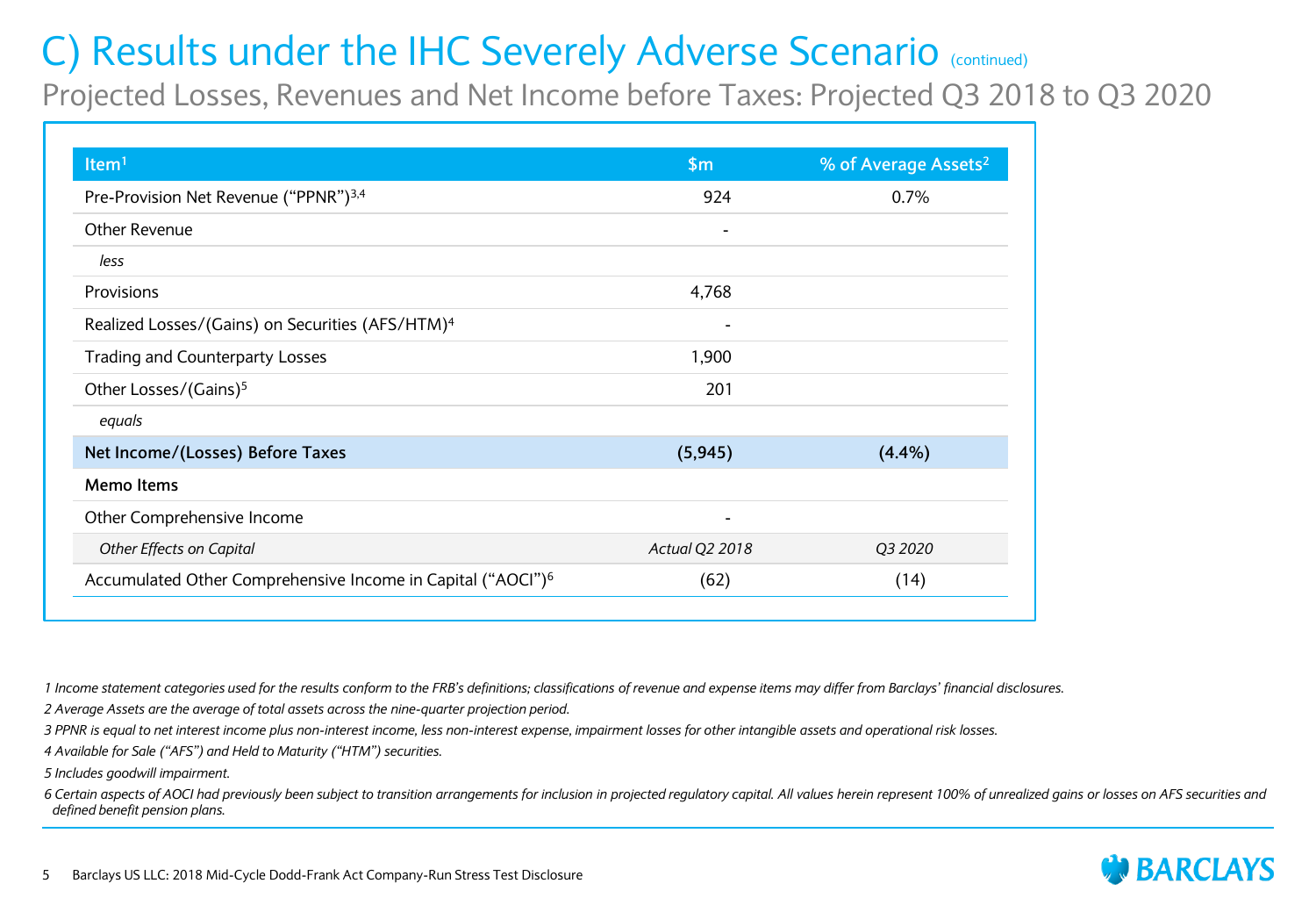Projected Losses, Revenues and Net Income before Taxes: Projected Q3 2018 to Q3 2020

| Item <sup>1</sup>                                                       | \$m                      | % of Average Assets <sup>2</sup> |
|-------------------------------------------------------------------------|--------------------------|----------------------------------|
| Pre-Provision Net Revenue ("PPNR") <sup>3,4</sup>                       | 924                      | 0.7%                             |
| Other Revenue                                                           | $\overline{\phantom{a}}$ |                                  |
| less                                                                    |                          |                                  |
| Provisions                                                              | 4,768                    |                                  |
| Realized Losses/(Gains) on Securities (AFS/HTM) <sup>4</sup>            |                          |                                  |
| Trading and Counterparty Losses                                         | 1,900                    |                                  |
| Other Losses/(Gains) <sup>5</sup>                                       | 201                      |                                  |
| equals                                                                  |                          |                                  |
| Net Income/(Losses) Before Taxes                                        | (5, 945)                 | (4.4%)                           |
| Memo Items                                                              |                          |                                  |
| Other Comprehensive Income                                              | $\overline{\phantom{0}}$ |                                  |
| Other Effects on Capital                                                | Actual Q2 2018           | Q3 2020                          |
| Accumulated Other Comprehensive Income in Capital ("AOCI") <sup>6</sup> | (62)                     | (14)                             |

*1 Income statement categories used for the results conform to the FRB's definitions; classifications of revenue and expense items may differ from Barclays' financial disclosures.*

*2 Average Assets are the average of total assets across the nine-quarter projection period.*

*3 PPNR is equal to net interest income plus non-interest income, less non-interest expense, impairment losses for other intangible assets and operational risk losses.*

*4 Available for Sale ("AFS") and Held to Maturity ("HTM") securities.*

*5 Includes goodwill impairment.*

*6 Certain aspects of AOCI had previously been subject to transition arrangements for inclusion in projected regulatory capital. All values herein represent 100% of unrealized gains or losses on AFS securities and defined benefit pension plans.*

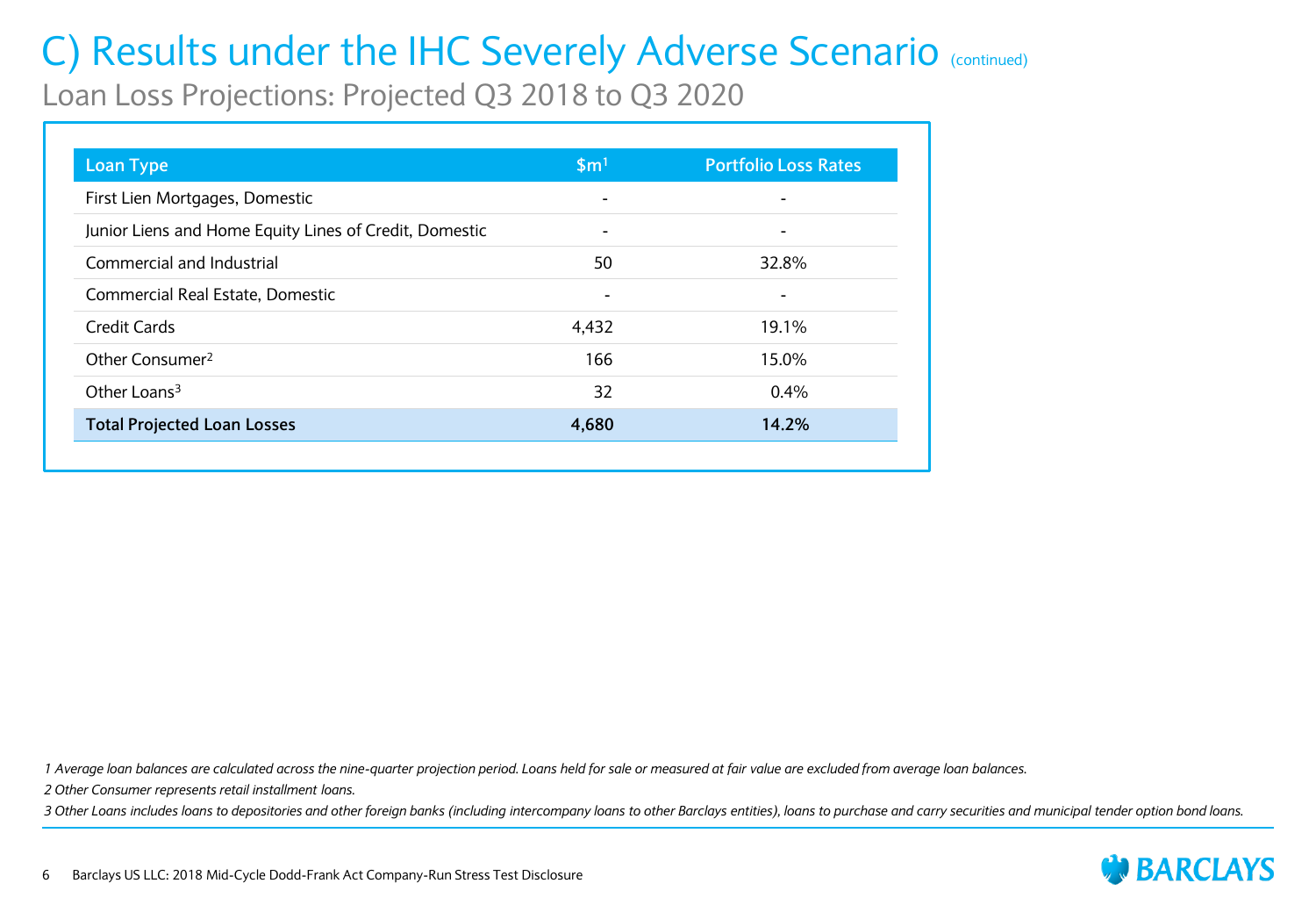Loan Loss Projections: Projected Q3 2018 to Q3 2020

| <b>Loan Type</b>                                       | \$m <sup>1</sup>         | <b>Portfolio Loss Rates</b> |
|--------------------------------------------------------|--------------------------|-----------------------------|
| First Lien Mortgages, Domestic                         |                          |                             |
| Junior Liens and Home Equity Lines of Credit, Domestic | $\overline{\phantom{0}}$ |                             |
| Commercial and Industrial                              | 50                       | 32.8%                       |
| Commercial Real Estate, Domestic                       |                          |                             |
| <b>Credit Cards</b>                                    | 4,432                    | 19.1%                       |
| Other Consumer <sup>2</sup>                            | 166                      | 15.0%                       |
| Other Loans <sup>3</sup>                               | 32                       | $0.4\%$                     |
| <b>Total Projected Loan Losses</b>                     | 4,680                    | 14.2%                       |

*1 Average loan balances are calculated across the nine-quarter projection period. Loans held for sale or measured at fair value are excluded from average loan balances.*

*2 Other Consumer represents retail installment loans.*

*3 Other Loans includes loans to depositories and other foreign banks (including intercompany loans to other Barclays entities), loans to purchase and carry securities and municipal tender option bond loans.*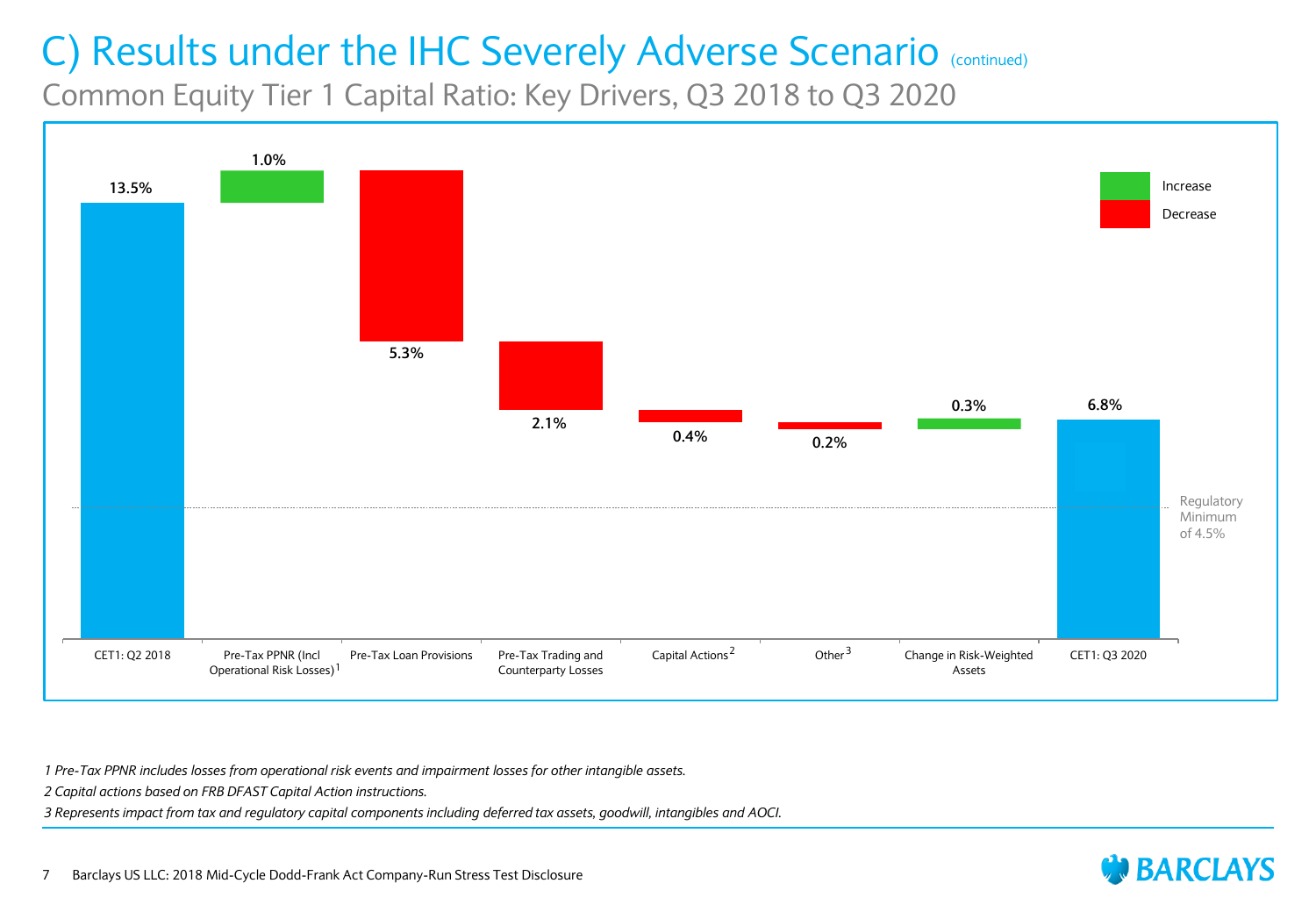Common Equity Tier 1 Capital Ratio: Key Drivers, Q3 2018 to Q3 2020



*1 Pre-Tax PPNR includes losses from operational risk events and impairment losses for other intangible assets.*

*2 Capital actions based on FRB DFAST Capital Action instructions.*

*3 Represents impact from tax and regulatory capital components including deferred tax assets, goodwill, intangibles and AOCI.*

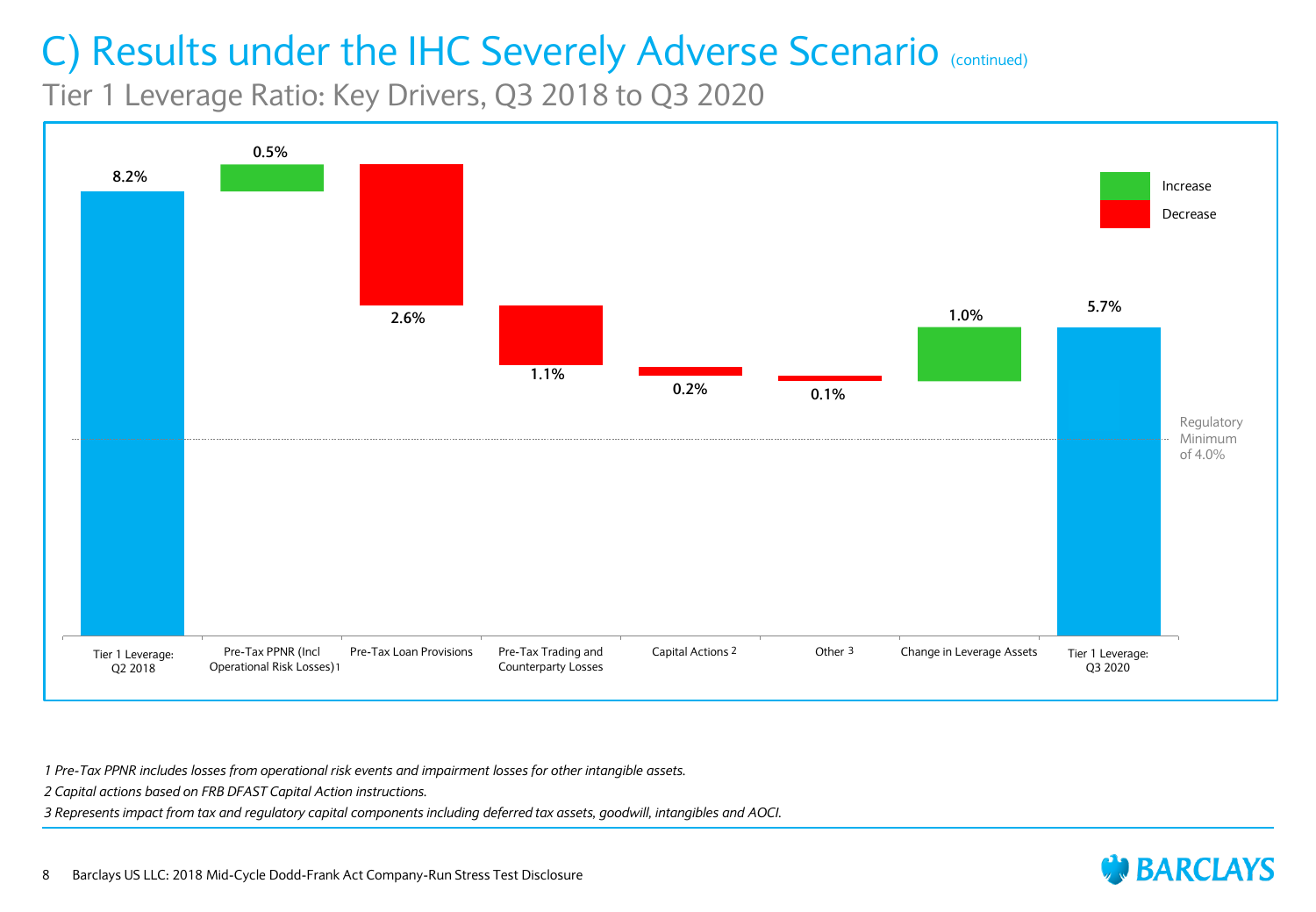Tier 1 Leverage Ratio: Key Drivers, Q3 2018 to Q3 2020



*1 Pre-Tax PPNR includes losses from operational risk events and impairment losses for other intangible assets.*

*2 Capital actions based on FRB DFAST Capital Action instructions.*

*3 Represents impact from tax and regulatory capital components including deferred tax assets, goodwill, intangibles and AOCI.*

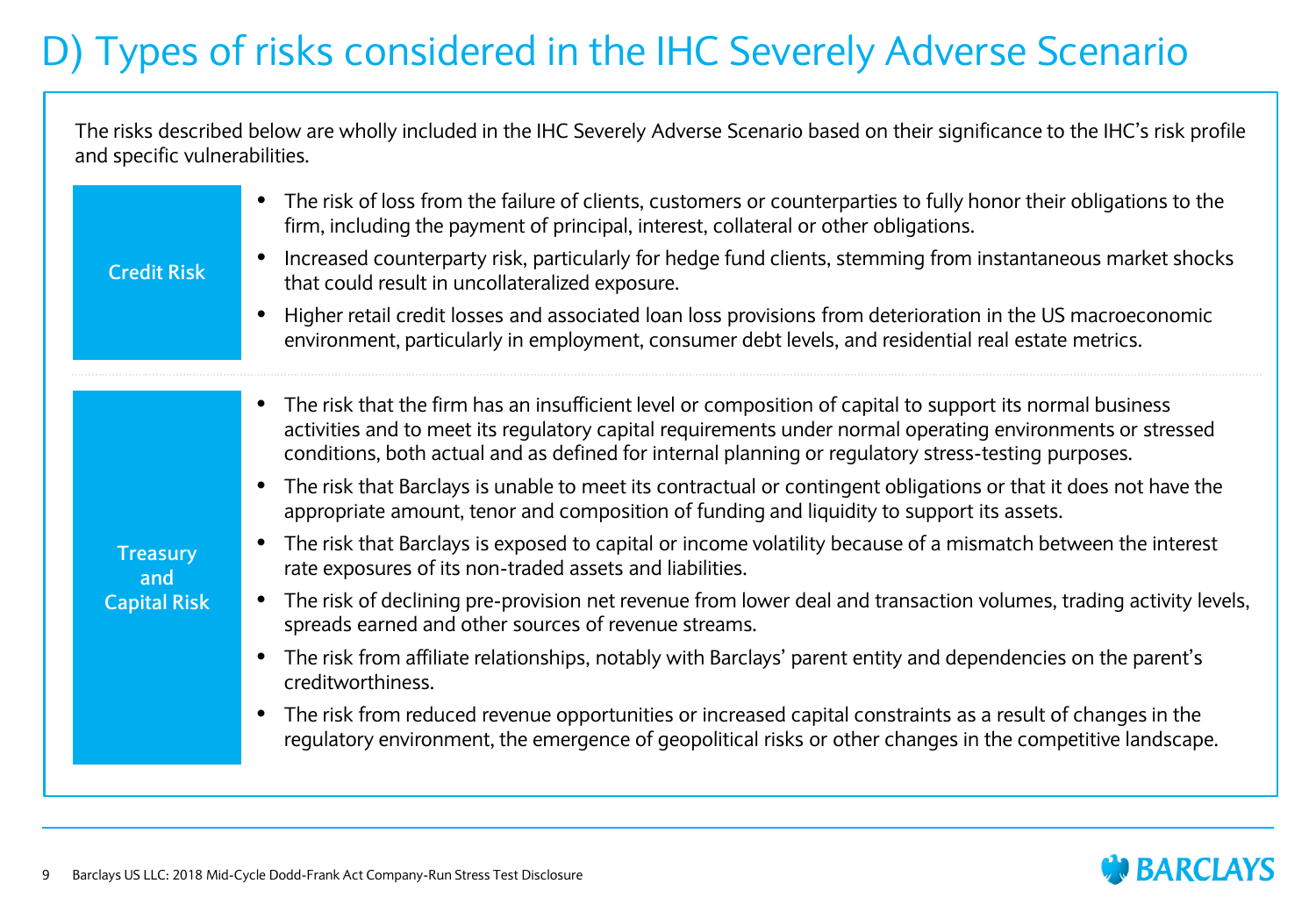# D) Types of risks considered in the IHC Severely Adverse Scenario

The risks described below are wholly included in the IHC Severely Adverse Scenario based on their significance to the IHC's risk profile and specific vulnerabilities.

| <b>Credit Risk</b>                            | The risk of loss from the failure of clients, customers or counterparties to fully honor their obligations to the<br>firm, including the payment of principal, interest, collateral or other obligations.<br>Increased counterparty risk, particularly for hedge fund clients, stemming from instantaneous market shocks<br>that could result in uncollateralized exposure.<br>Higher retail credit losses and associated loan loss provisions from deterioration in the US macroeconomic<br>environment, particularly in employment, consumer debt levels, and residential real estate metrics.                                                                                                                                                                                                                                                                                                                                                                                                                                                                                                                                                                                                                                                                         |
|-----------------------------------------------|--------------------------------------------------------------------------------------------------------------------------------------------------------------------------------------------------------------------------------------------------------------------------------------------------------------------------------------------------------------------------------------------------------------------------------------------------------------------------------------------------------------------------------------------------------------------------------------------------------------------------------------------------------------------------------------------------------------------------------------------------------------------------------------------------------------------------------------------------------------------------------------------------------------------------------------------------------------------------------------------------------------------------------------------------------------------------------------------------------------------------------------------------------------------------------------------------------------------------------------------------------------------------|
| <b>Treasury</b><br>and<br><b>Capital Risk</b> | The risk that the firm has an insufficient level or composition of capital to support its normal business<br>activities and to meet its regulatory capital requirements under normal operating environments or stressed<br>conditions, both actual and as defined for internal planning or regulatory stress-testing purposes.<br>The risk that Barclays is unable to meet its contractual or contingent obligations or that it does not have the<br>appropriate amount, tenor and composition of funding and liquidity to support its assets.<br>The risk that Barclays is exposed to capital or income volatility because of a mismatch between the interest<br>rate exposures of its non-traded assets and liabilities.<br>The risk of declining pre-provision net revenue from lower deal and transaction volumes, trading activity levels,<br>spreads earned and other sources of revenue streams.<br>The risk from affiliate relationships, notably with Barclays' parent entity and dependencies on the parent's<br>creditworthiness.<br>The risk from reduced revenue opportunities or increased capital constraints as a result of changes in the<br>regulatory environment, the emergence of geopolitical risks or other changes in the competitive landscape. |

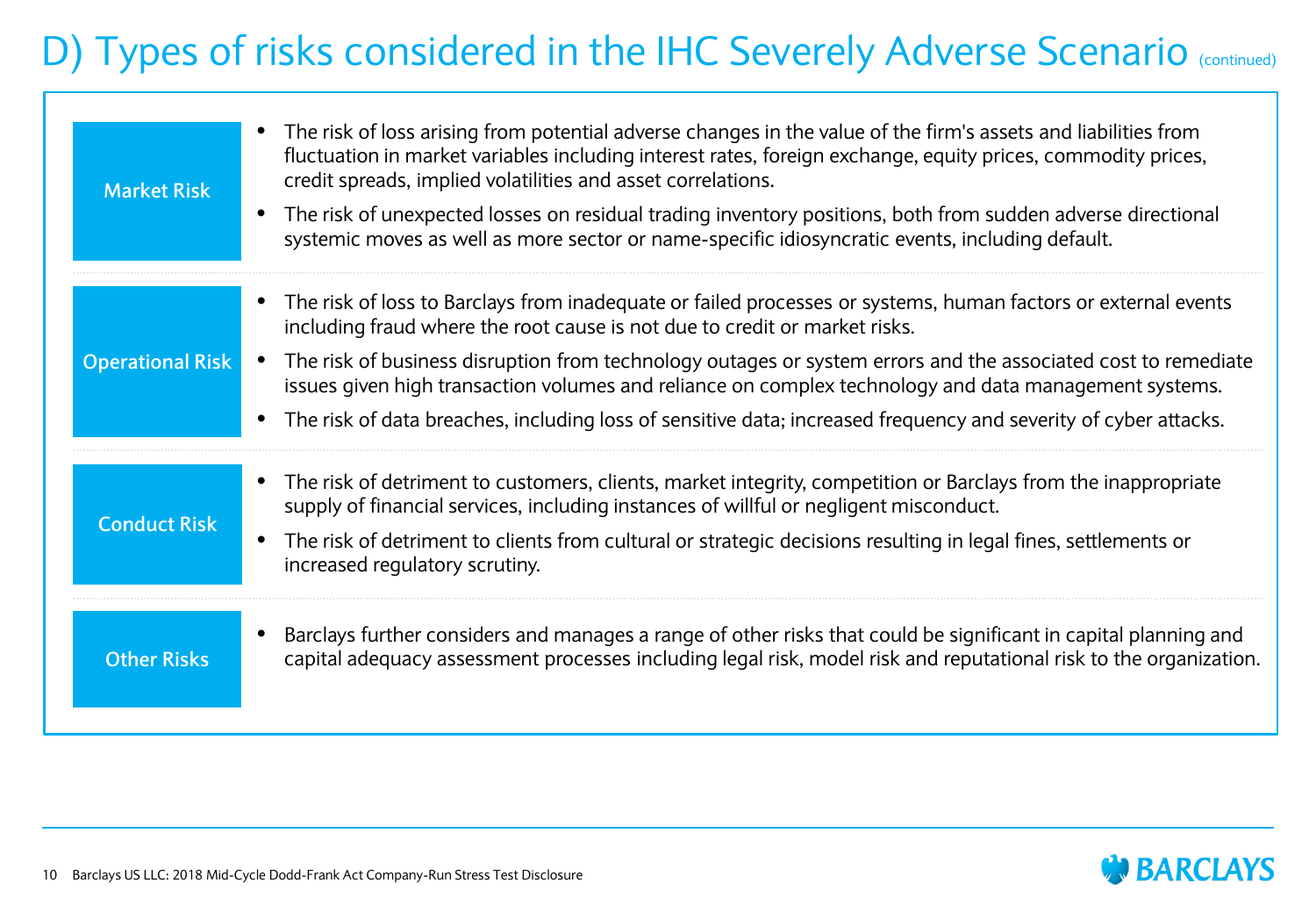## D) Types of risks considered in the IHC Severely Adverse Scenario (continued)

| <b>Market Risk</b>      | The risk of loss arising from potential adverse changes in the value of the firm's assets and liabilities from<br>$\bullet$<br>fluctuation in market variables including interest rates, foreign exchange, equity prices, commodity prices,<br>credit spreads, implied volatilities and asset correlations.<br>The risk of unexpected losses on residual trading inventory positions, both from sudden adverse directional<br>$\bullet$<br>systemic moves as well as more sector or name-specific idiosyncratic events, including default. |
|-------------------------|--------------------------------------------------------------------------------------------------------------------------------------------------------------------------------------------------------------------------------------------------------------------------------------------------------------------------------------------------------------------------------------------------------------------------------------------------------------------------------------------------------------------------------------------|
|                         | • The risk of loss to Barclays from inadequate or failed processes or systems, human factors or external events<br>including fraud where the root cause is not due to credit or market risks.                                                                                                                                                                                                                                                                                                                                              |
| <b>Operational Risk</b> | The risk of business disruption from technology outages or system errors and the associated cost to remediate<br>$\bullet$<br>issues given high transaction volumes and reliance on complex technology and data management systems.                                                                                                                                                                                                                                                                                                        |
|                         | • The risk of data breaches, including loss of sensitive data; increased frequency and severity of cyber attacks.                                                                                                                                                                                                                                                                                                                                                                                                                          |
| <b>Conduct Risk</b>     | The risk of detriment to customers, clients, market integrity, competition or Barclays from the inappropriate<br>$\bullet$<br>supply of financial services, including instances of willful or negligent misconduct.                                                                                                                                                                                                                                                                                                                        |
|                         | The risk of detriment to clients from cultural or strategic decisions resulting in legal fines, settlements or<br>$\bullet$<br>increased regulatory scrutiny.                                                                                                                                                                                                                                                                                                                                                                              |
| <b>Other Risks</b>      | Barclays further considers and manages a range of other risks that could be significant in capital planning and<br>capital adequacy assessment processes including legal risk, model risk and reputational risk to the organization.                                                                                                                                                                                                                                                                                                       |

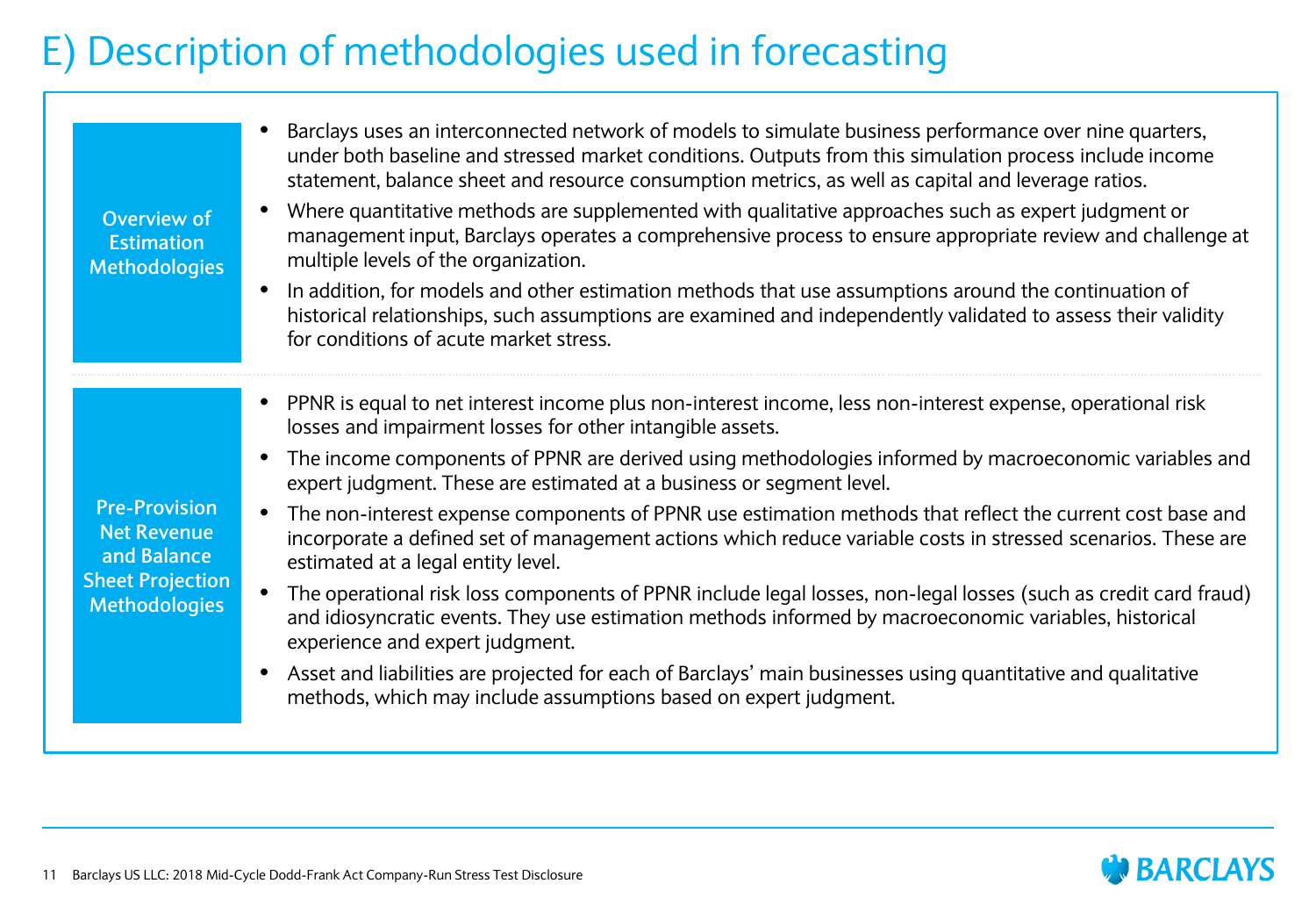## E) Description of methodologies used in forecasting

| Overview of<br><b>Estimation</b><br><b>Methodologies</b>                                                     | Barclays uses an interconnected network of models to simulate business performance over nine quarters,<br>under both baseline and stressed market conditions. Outputs from this simulation process include income<br>statement, balance sheet and resource consumption metrics, as well as capital and leverage ratios.<br>Where quantitative methods are supplemented with qualitative approaches such as expert judgment or<br>management input, Barclays operates a comprehensive process to ensure appropriate review and challenge at<br>multiple levels of the organization.<br>In addition, for models and other estimation methods that use assumptions around the continuation of<br>$\bullet$<br>historical relationships, such assumptions are examined and independently validated to assess their validity<br>for conditions of acute market stress.                                                                                                                                                       |
|--------------------------------------------------------------------------------------------------------------|-------------------------------------------------------------------------------------------------------------------------------------------------------------------------------------------------------------------------------------------------------------------------------------------------------------------------------------------------------------------------------------------------------------------------------------------------------------------------------------------------------------------------------------------------------------------------------------------------------------------------------------------------------------------------------------------------------------------------------------------------------------------------------------------------------------------------------------------------------------------------------------------------------------------------------------------------------------------------------------------------------------------------|
| <b>Pre-Provision</b><br><b>Net Revenue</b><br>and Balance<br><b>Sheet Projection</b><br><b>Methodologies</b> | PPNR is equal to net interest income plus non-interest income, less non-interest expense, operational risk<br>losses and impairment losses for other intangible assets.<br>The income components of PPNR are derived using methodologies informed by macroeconomic variables and<br>expert judgment. These are estimated at a business or segment level.<br>The non-interest expense components of PPNR use estimation methods that reflect the current cost base and<br>incorporate a defined set of management actions which reduce variable costs in stressed scenarios. These are<br>estimated at a legal entity level.<br>The operational risk loss components of PPNR include legal losses, non-legal losses (such as credit card fraud)<br>and idiosyncratic events. They use estimation methods informed by macroeconomic variables, historical<br>experience and expert judgment.<br>Asset and liabilities are projected for each of Barclays' main businesses using quantitative and qualitative<br>$\bullet$ |
|                                                                                                              | methods, which may include assumptions based on expert judgment.                                                                                                                                                                                                                                                                                                                                                                                                                                                                                                                                                                                                                                                                                                                                                                                                                                                                                                                                                        |

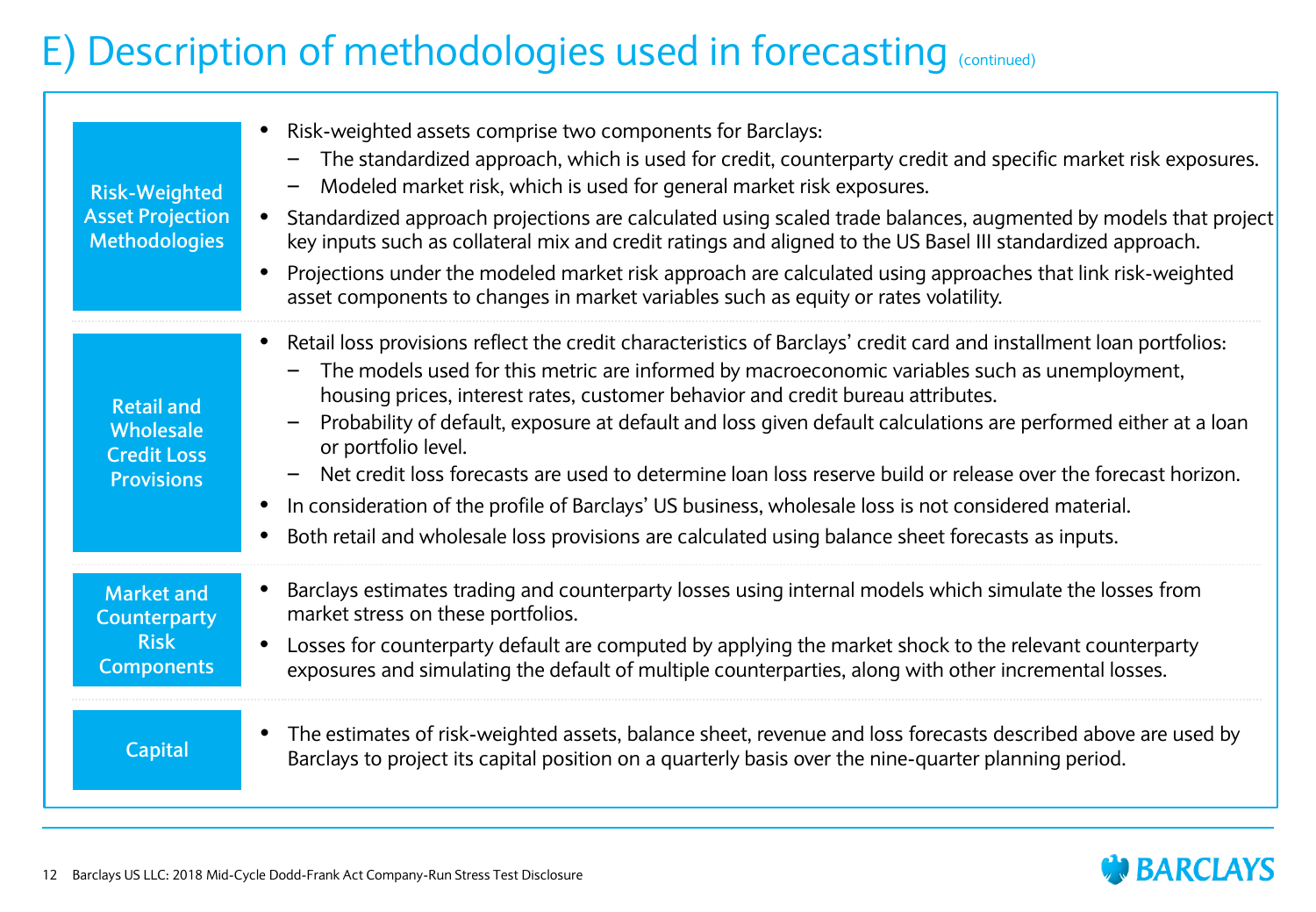## E) Description of methodologies used in forecasting (continued)

| <b>Risk-Weighted</b><br><b>Asset Projection</b><br><b>Methodologies</b>      | Risk-weighted assets comprise two components for Barclays:<br>The standardized approach, which is used for credit, counterparty credit and specific market risk exposures.<br>Modeled market risk, which is used for general market risk exposures.<br>Standardized approach projections are calculated using scaled trade balances, augmented by models that project<br>$\bullet$<br>key inputs such as collateral mix and credit ratings and aligned to the US Basel III standardized approach.<br>Projections under the modeled market risk approach are calculated using approaches that link risk-weighted<br>$\bullet$<br>asset components to changes in market variables such as equity or rates volatility.                                                                         |
|------------------------------------------------------------------------------|---------------------------------------------------------------------------------------------------------------------------------------------------------------------------------------------------------------------------------------------------------------------------------------------------------------------------------------------------------------------------------------------------------------------------------------------------------------------------------------------------------------------------------------------------------------------------------------------------------------------------------------------------------------------------------------------------------------------------------------------------------------------------------------------|
| <b>Retail and</b><br>Wholesale<br><b>Credit Loss</b><br><b>Provisions</b>    | Retail loss provisions reflect the credit characteristics of Barclays' credit card and installment loan portfolios:<br>The models used for this metric are informed by macroeconomic variables such as unemployment,<br>housing prices, interest rates, customer behavior and credit bureau attributes.<br>Probability of default, exposure at default and loss given default calculations are performed either at a loan<br>or portfolio level.<br>Net credit loss forecasts are used to determine loan loss reserve build or release over the forecast horizon.<br>In consideration of the profile of Barclays' US business, wholesale loss is not considered material.<br>$\bullet$<br>Both retail and wholesale loss provisions are calculated using balance sheet forecasts as inputs. |
| <b>Market and</b><br><b>Counterparty</b><br><b>Risk</b><br><b>Components</b> | Barclays estimates trading and counterparty losses using internal models which simulate the losses from<br>market stress on these portfolios.<br>Losses for counterparty default are computed by applying the market shock to the relevant counterparty<br>exposures and simulating the default of multiple counterparties, along with other incremental losses.                                                                                                                                                                                                                                                                                                                                                                                                                            |
| <b>Capital</b>                                                               | The estimates of risk-weighted assets, balance sheet, revenue and loss forecasts described above are used by<br>Barclays to project its capital position on a quarterly basis over the nine-quarter planning period.                                                                                                                                                                                                                                                                                                                                                                                                                                                                                                                                                                        |